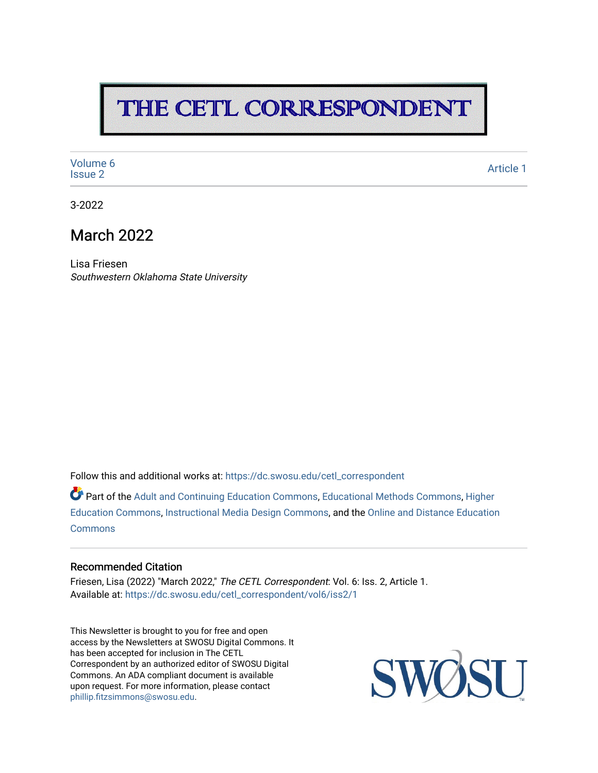# THE CETL CORRESPONDENT

[Volume 6](https://dc.swosu.edu/cetl_correspondent/vol6)<br>Issue 2 volume of the contract of the contract of the contract of the contract of the contract of the contract of the contract of the contract of the contract of the contract of the contract of the contract of the contract of the

3-2022

## March 2022

Lisa Friesen Southwestern Oklahoma State University

Follow this and additional works at: [https://dc.swosu.edu/cetl\\_correspondent](https://dc.swosu.edu/cetl_correspondent?utm_source=dc.swosu.edu%2Fcetl_correspondent%2Fvol6%2Fiss2%2F1&utm_medium=PDF&utm_campaign=PDFCoverPages)

Part of the [Adult and Continuing Education Commons,](http://network.bepress.com/hgg/discipline/1375?utm_source=dc.swosu.edu%2Fcetl_correspondent%2Fvol6%2Fiss2%2F1&utm_medium=PDF&utm_campaign=PDFCoverPages) [Educational Methods Commons,](http://network.bepress.com/hgg/discipline/1227?utm_source=dc.swosu.edu%2Fcetl_correspondent%2Fvol6%2Fiss2%2F1&utm_medium=PDF&utm_campaign=PDFCoverPages) [Higher](http://network.bepress.com/hgg/discipline/1245?utm_source=dc.swosu.edu%2Fcetl_correspondent%2Fvol6%2Fiss2%2F1&utm_medium=PDF&utm_campaign=PDFCoverPages) [Education Commons,](http://network.bepress.com/hgg/discipline/1245?utm_source=dc.swosu.edu%2Fcetl_correspondent%2Fvol6%2Fiss2%2F1&utm_medium=PDF&utm_campaign=PDFCoverPages) [Instructional Media Design Commons,](http://network.bepress.com/hgg/discipline/795?utm_source=dc.swosu.edu%2Fcetl_correspondent%2Fvol6%2Fiss2%2F1&utm_medium=PDF&utm_campaign=PDFCoverPages) and the [Online and Distance Education](http://network.bepress.com/hgg/discipline/1296?utm_source=dc.swosu.edu%2Fcetl_correspondent%2Fvol6%2Fiss2%2F1&utm_medium=PDF&utm_campaign=PDFCoverPages)  **[Commons](http://network.bepress.com/hgg/discipline/1296?utm_source=dc.swosu.edu%2Fcetl_correspondent%2Fvol6%2Fiss2%2F1&utm_medium=PDF&utm_campaign=PDFCoverPages)** 

#### Recommended Citation

Friesen, Lisa (2022) "March 2022," The CETL Correspondent: Vol. 6: Iss. 2, Article 1. Available at: [https://dc.swosu.edu/cetl\\_correspondent/vol6/iss2/1](https://dc.swosu.edu/cetl_correspondent/vol6/iss2/1?utm_source=dc.swosu.edu%2Fcetl_correspondent%2Fvol6%2Fiss2%2F1&utm_medium=PDF&utm_campaign=PDFCoverPages) 

This Newsletter is brought to you for free and open access by the Newsletters at SWOSU Digital Commons. It has been accepted for inclusion in The CETL Correspondent by an authorized editor of SWOSU Digital Commons. An ADA compliant document is available upon request. For more information, please contact [phillip.fitzsimmons@swosu.edu](mailto:phillip.fitzsimmons@swosu.edu).

**STT** SWO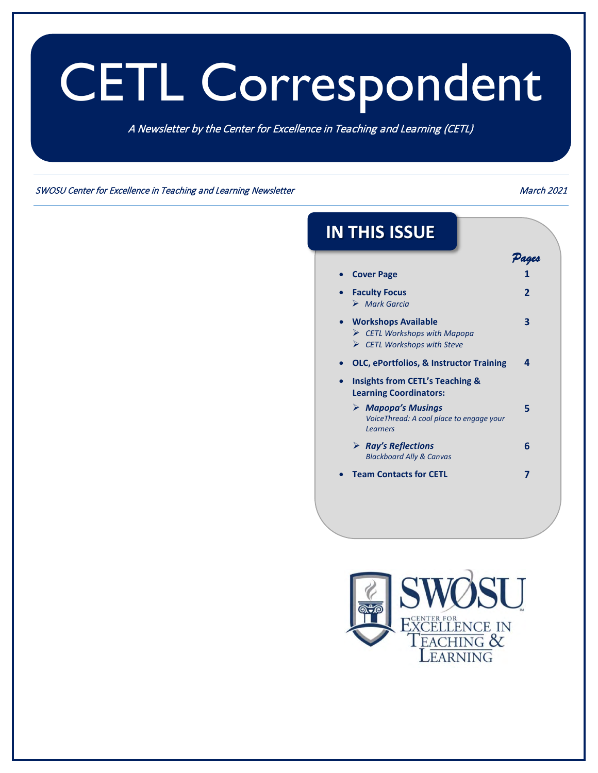# CETL Correspondent

A Newsletter by the Center for Excellence in Teaching and Learning (CETL)

SWOSU Center for Excellence in Teaching and Learning Newsletter March 2021 and March 2021

| <b>IN THIS ISSUE</b>                                                                                                    |                |
|-------------------------------------------------------------------------------------------------------------------------|----------------|
|                                                                                                                         | Pages<br>1     |
| <b>Cover Page</b>                                                                                                       |                |
| <b>Faculty Focus</b><br>$\triangleright$ Mark Garcia                                                                    | $\overline{2}$ |
| <b>Workshops Available</b><br>$\triangleright$ CETL Workshops with Mapopa<br>$\triangleright$ CETL Workshops with Steve | 3              |
| OLC, ePortfolios, & Instructor Training                                                                                 | Δ              |
| <b>Insights from CETL's Teaching &amp;</b><br><b>Learning Coordinators:</b>                                             |                |
| $\triangleright$ Mapopa's Musings<br>VoiceThread: A cool place to engage your<br>Learners                               | 5              |
| $\triangleright$ Ray's Reflections<br><b>Blackboard Ally &amp; Canvas</b>                                               | 6              |
| <b>Team Contacts for CETL</b>                                                                                           | 7              |

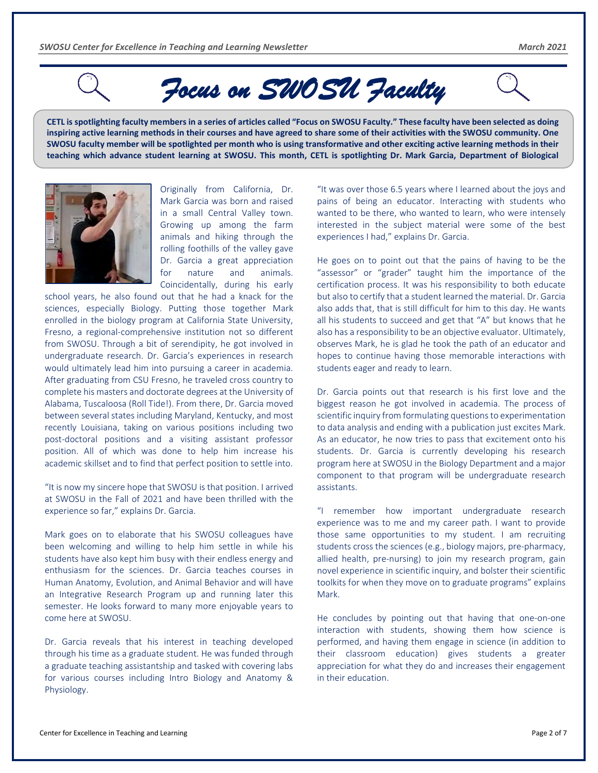<span id="page-2-0"></span>

# *Focus on SWOSU Faculty*

**CETL is spotlighting faculty members in a series of articles called "Focus on SWOSU Faculty." These faculty have been selected as doing inspiring active learning methods in their courses and have agreed to share some of their activities with the SWOSU community. One SWOSU faculty member will be spotlighted per month who is using transformative and other exciting active learning methods in their teaching which advance student learning at SWOSU. This month, CETL is spotlighting Dr. Mark Garcia, Department of Biological** 



Originally from California, Dr. Mark Garcia was born and raised in a small Central Valley town. Growing up among the farm animals and hiking through the rolling foothills of the valley gave Dr. Garcia a great appreciation for nature and animals. Coincidentally, during his early

school years, he also found out that he had a knack for the sciences, especially Biology. Putting those together Mark enrolled in the biology program at California State University, Fresno, a regional-comprehensive institution not so different from SWOSU. Through a bit of serendipity, he got involved in undergraduate research. Dr. Garcia's experiences in research would ultimately lead him into pursuing a career in academia. After graduating from CSU Fresno, he traveled cross country to complete his masters and doctorate degrees at the University of Alabama, Tuscaloosa (Roll Tide!). From there, Dr. Garcia moved between several states including Maryland, Kentucky, and most recently Louisiana, taking on various positions including two post-doctoral positions and a visiting assistant professor position. All of which was done to help him increase his academic skillset and to find that perfect position to settle into.

"It is now my sincere hope that SWOSU is that position. I arrived at SWOSU in the Fall of 2021 and have been thrilled with the experience so far," explains Dr. Garcia.

Mark goes on to elaborate that his SWOSU colleagues have been welcoming and willing to help him settle in while his students have also kept him busy with their endless energy and enthusiasm for the sciences. Dr. Garcia teaches courses in Human Anatomy, Evolution, and Animal Behavior and will have an Integrative Research Program up and running later this semester. He looks forward to many more enjoyable years to come here at SWOSU.

Dr. Garcia reveals that his interest in teaching developed through his time as a graduate student. He was funded through a graduate teaching assistantship and tasked with covering labs for various courses including Intro Biology and Anatomy & Physiology.

"It was over those 6.5 years where I learned about the joys and pains of being an educator. Interacting with students who wanted to be there, who wanted to learn, who were intensely interested in the subject material were some of the best experiences I had," explains Dr. Garcia.

He goes on to point out that the pains of having to be the "assessor" or "grader" taught him the importance of the certification process. It was his responsibility to both educate but also to certify that a student learned the material. Dr. Garcia also adds that, that is still difficult for him to this day. He wants all his students to succeed and get that "A" but knows that he also has a responsibility to be an objective evaluator. Ultimately, observes Mark, he is glad he took the path of an educator and hopes to continue having those memorable interactions with students eager and ready to learn.

Dr. Garcia points out that research is his first love and the biggest reason he got involved in academia. The process of scientific inquiry from formulating questions to experimentation to data analysis and ending with a publication just excites Mark. As an educator, he now tries to pass that excitement onto his students. Dr. Garcia is currently developing his research program here at SWOSU in the Biology Department and a major component to that program will be undergraduate research assistants.

"I remember how important undergraduate research experience was to me and my career path. I want to provide those same opportunities to my student. I am recruiting students cross the sciences (e.g., biology majors, pre-pharmacy, allied health, pre-nursing) to join my research program, gain novel experience in scientific inquiry, and bolster their scientific toolkits for when they move on to graduate programs" explains Mark.

He concludes by pointing out that having that one-on-one interaction with students, showing them how science is performed, and having them engage in science (in addition to their classroom education) gives students a greater appreciation for what they do and increases their engagement in their education.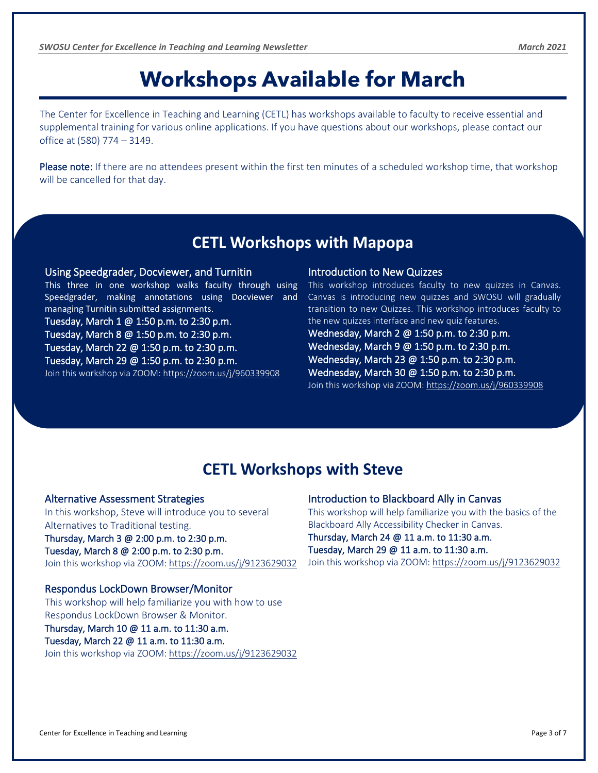# **Workshops Available for March**

<span id="page-3-0"></span>The Center for Excellence in Teaching and Learning (CETL) has workshops available to faculty to receive essential and supplemental training for various online applications. If you have questions about our workshops, please contact our office at (580) 774 – 3149.

Please note: If there are no attendees present within the first ten minutes of a scheduled workshop time, that workshop will be cancelled for that day.

## **CETL Workshops with Mapopa**

#### Using Speedgrader, Docviewer, and Turnitin

This three in one workshop walks faculty through using Speedgrader, making annotations using Docviewer and managing Turnitin submitted assignments.

Tuesday, March 1 @ 1:50 p.m. to 2:30 p.m. Tuesday, March 8 @ 1:50 p.m. to 2:30 p.m. Tuesday, March 22 @ 1:50 p.m. to 2:30 p.m. Tuesday, March 29 @ 1:50 p.m. to 2:30 p.m. Join this workshop via ZOOM: <https://zoom.us/j/960339908>

#### Introduction to New Quizzes

This workshop introduces faculty to new quizzes in Canvas. Canvas is introducing new quizzes and SWOSU will gradually transition to new Quizzes. This workshop introduces faculty to the new quizzes interface and new quiz features.

Wednesday, March 2 @ 1:50 p.m. to 2:30 p.m. Wednesday, March 9 @ 1:50 p.m. to 2:30 p.m. Wednesday, March 23 @ 1:50 p.m. to 2:30 p.m. Wednesday, March 30 @ 1:50 p.m. to 2:30 p.m. Join this workshop via ZOOM: <https://zoom.us/j/960339908>

## **CETL Workshops with Steve**

#### Alternative Assessment Strategies

In this workshop, Steve will introduce you to several Alternatives to Traditional testing. Thursday, March 3 @ 2:00 p.m. to 2:30 p.m. Tuesday, March 8 @ 2:00 p.m. to 2:30 p.m. Join this workshop via ZOOM:<https://zoom.us/j/9123629032>

## Respondus LockDown Browser/Monitor

This workshop will help familiarize you with how to use Respondus LockDown Browser & Monitor.

### Thursday, March 10 @ 11 a.m. to 11:30 a.m.

Tuesday, March 22 @ 11 a.m. to 11:30 a.m. Join this workshop via ZOOM: <https://zoom.us/j/9123629032>

#### Introduction to Blackboard Ally in Canvas

This workshop will help familiarize you with the basics of the Blackboard Ally Accessibility Checker in Canvas.

Thursday, March 24 @ 11 a.m. to 11:30 a.m. Tuesday, March 29 @ 11 a.m. to 11:30 a.m.

Join this workshop via ZOOM:<https://zoom.us/j/9123629032>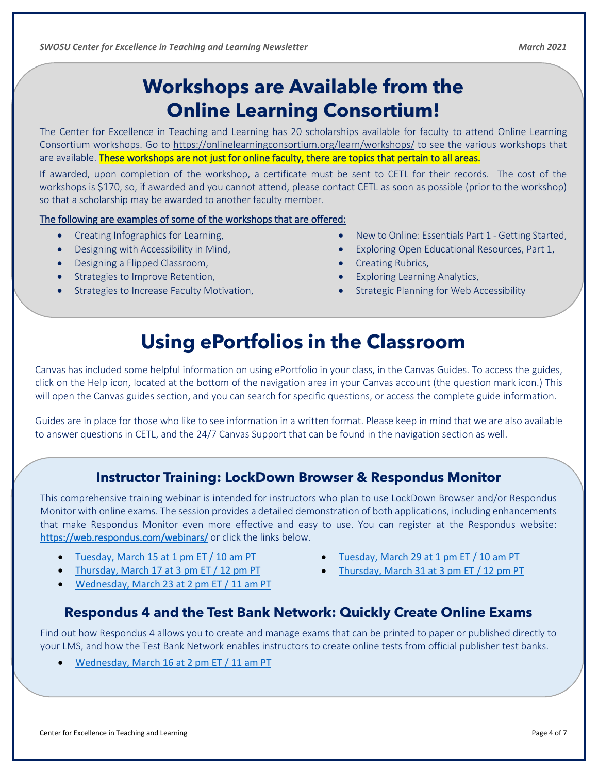## **Workshops are Available from the Online Learning Consortium!**

The Center for Excellence in Teaching and Learning has 20 scholarships available for faculty to attend Online Learning Consortium workshops. Go to <https://onlinelearningconsortium.org/learn/workshops/> to see the various workshops that are available. These workshops are not just for online faculty, there are topics that pertain to all areas.

If awarded, upon completion of the workshop, a certificate must be sent to CETL for their records. The cost of the workshops is \$170, so, if awarded and you cannot attend, please contact CETL as soon as possible (prior to the workshop) so that a scholarship may be awarded to another faculty member.

#### The following are examples of some of the workshops that are offered:

- Creating Infographics for Learning,
- Designing with Accessibility in Mind,
- Designing a Flipped Classroom,

<span id="page-4-0"></span>

- Strategies to Improve Retention,
- Strategies to Increase Faculty Motivation,
- New to Online: Essentials Part 1 Getting Started,
- Exploring Open Educational Resources, Part 1,
- Creating Rubrics,
- Exploring Learning Analytics,
- Strategic Planning for Web Accessibility

## **Using ePortfolios in the Classroom**

Canvas has included some helpful information on using ePortfolio in your class, in the Canvas Guides. To access the guides, click on the Help icon, located at the bottom of the navigation area in your Canvas account (the question mark icon.) This will open the Canvas guides section, and you can search for specific questions, or access the complete guide information.

Guides are in place for those who like to see information in a written format. Please keep in mind that we are also available to answer questions in CETL, and the 24/7 Canvas Support that can be found in the navigation section as well.

## **Instructor Training: LockDown Browser & Respondus Monitor**

This comprehensive training webinar is intended for instructors who plan to use LockDown Browser and/or Respondus Monitor with online exams. The session provides a detailed demonstration of both applications, including enhancements that make Respondus Monitor even more effective and easy to use. You can register at the Respondus website: <https://web.respondus.com/webinars/> or click the links below.

- [Tuesday, March 15 at 1 pm ET / 10 am PT](https://attendee.gotowebinar.com/register/7001617899063277839)
- [Thursday, March 17 at 3 pm ET / 12 pm PT](https://attendee.gotowebinar.com/register/8573743604922576912)
- [Wednesday, March 23 at 2 pm ET / 11 am PT](https://attendee.gotowebinar.com/register/150199207241388047)
- [Tuesday, March 29 at 1 pm ET / 10 am PT](https://attendee.gotowebinar.com/register/8978732220515324430)
- [Thursday, March 31 at 3 pm ET / 12 pm PT](https://attendee.gotowebinar.com/register/7595304700215026703)

## **Respondus 4 and the Test Bank Network: Quickly Create Online Exams**

Find out how Respondus 4 allows you to create and manage exams that can be printed to paper or published directly to your LMS, and how the Test Bank Network enables instructors to create online tests from official publisher test banks.

• [Wednesday, March 16 at 2 pm ET / 11 am PT](https://attendee.gotowebinar.com/register/1639410740896945676)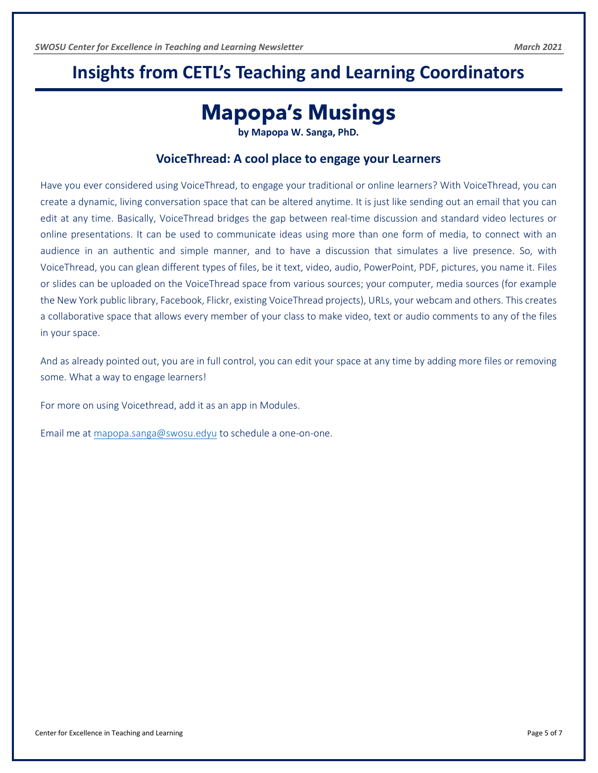## <span id="page-5-0"></span>**Insights from CETL's Teaching and Learning Coordinators**

## **Mapopa's Musings**

**by Mapopa W. Sanga, PhD.**

#### **VoiceThread: A cool place to engage your Learners**

Have you ever considered using VoiceThread, to engage your traditional or online learners? With VoiceThread, you can create a dynamic, living conversation space that can be altered anytime. It is just like sending out an email that you can edit at any time. Basically, VoiceThread bridges the gap between real-time discussion and standard video lectures or online presentations. It can be used to communicate ideas using more than one form of media, to connect with an audience in an authentic and simple manner, and to have a discussion that simulates a live presence. So, with VoiceThread, you can glean different types of files, be it text, video, audio, PowerPoint, PDF, pictures, you name it. Files or slides can be uploaded on the VoiceThread space from various sources; your computer, media sources (for example the New York public library, Facebook, Flickr, existing VoiceThread projects), URLs, your webcam and others. This creates a collaborative space that allows every member of your class to make video, text or audio comments to any of the files in your space.

And as already pointed out, you are in full control, you can edit your space at any time by adding more files or removing some. What a way to engage learners!

For more on using Voicethread, add it as an app in Modules.

Email me at [mapopa.sanga@swosu.edyu](mailto:mapopa.sanga@swosu.edyu) to schedule a one-on-one.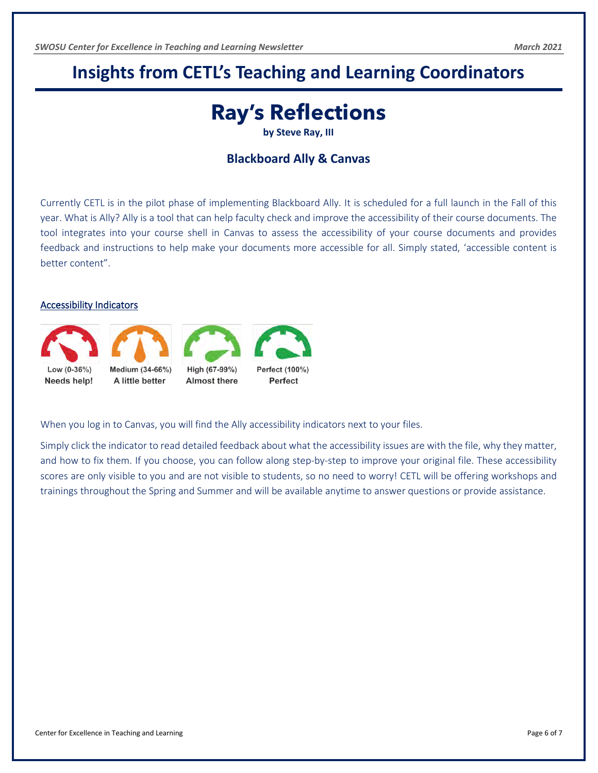## <span id="page-6-0"></span>**Insights from CETL's Teaching and Learning Coordinators**

# **Ray's Reflections**

**by Steve Ray, III**

#### **Blackboard Ally & Canvas**

Currently CETL is in the pilot phase of implementing Blackboard Ally. It is scheduled for a full launch in the Fall of this year. What is Ally? Ally is a tool that can help faculty check and improve the accessibility of their course documents. The tool integrates into your course shell in Canvas to assess the accessibility of your course documents and provides feedback and instructions to help make your documents more accessible for all. Simply stated, 'accessible content is better content".

#### Accessibility Indicators





Low (0-36%) Needs help! Medium (34-66%) A little better



Almost there



When you log in to Canvas, you will find the Ally accessibility indicators next to your files.

Simply click the indicator to read detailed feedback about what the accessibility issues are with the file, why they matter, and how to fix them. If you choose, you can follow along step-by-step to improve your original file. These accessibility scores are only visible to you and are not visible to students, so no need to worry! CETL will be offering workshops and trainings throughout the Spring and Summer and will be available anytime to answer questions or provide assistance.